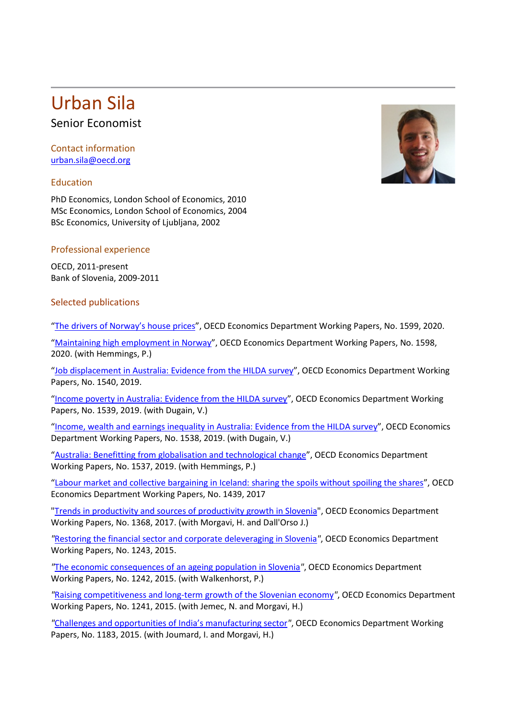# Urban Sila<br>Senior Economist

Contact information [urban.sila@oecd.org](mailto:urban.sila@oecd.org)

# Education

PhD Economics, London School of Economics, 2010 MSc Economics, London School of Economics, 2004 BSc Economics, University of Ljubljana, 2002

## Professional experience

OECD, 2011-present Bank of Slovenia, 2009-2011

## Selected publications

["The drivers of Norway's house prices"](https://doi.org/10.1787/cb065dca-en), OECD Economics Department Working Papers, No. 1599, 2020.

["Maintaining high employment in Norway"](https://doi.org/10.1787/7e1993a1-en), OECD Economics Department Working Papers, No. 1598, 2020. (with Hemmings, P.)

["Job displacement in Australia: Evidence from the HILDA survey"](https://doi.org/10.1787/eccc0b28-en), OECD Economics Department Working Papers, No. 1540, 2019.

["Income poverty in Australia: Evidence from the HILDA survey"](https://doi.org/10.1787/322390bf-en), OECD Economics Department Working Papers, No. 1539, 2019. (with Dugain, V.)

["Income, wealth and earnings inequality in Australia: Evidence from the HILDA survey"](https://doi.org/10.1787/cab6789d-en), OECD Economics Department Working Papers, No. 1538, 2019. (with Dugain, V.)

["Australia: Benefitting from globalisation and technological change"](https://doi.org/10.1787/d36cddc4-en), OECD Economics Department Working Papers, No. 1537, 2019. (with Hemmings, P.)

["Labour market and collective bargaining in Iceland: sharing the spoils without spoiling the shares"](https://doi.org/10.1787/851fc29b-en), OECD Economics Department Working Papers, No. 1439, 2017

["Trends in productivity and sources of productivity growth in Slovenia"](http://www.oecd-ilibrary.org/docserver/download/a6691907-en.pdf?expires=1491223491&id=id&accname=guest&checksum=8188F09AB7FD137C521E84E54946E4AD), OECD Economics Department Working Papers, No. 1368, 2017. (with Morgavi, H. and Dall'Orso J.)

*"*[Restoring the financial sector and corporate deleveraging in Slovenia](http://www.oecd-ilibrary.org/docserver/download/5jrxml3x8vq0.pdf?expires=1439557289&id=id&accname=guest&checksum=53C1EC947616EA7B2A058C75363D8EE0)*"*, OECD Economics Department Working Papers, No. 1243, 2015.

*"*[The economic consequences of an ageing population in Slovenia](http://www.oecd-ilibrary.org/docserver/download/5jrxml4b6828.pdf?expires=1439557337&id=id&accname=guest&checksum=1B9A7764C610FA2ADE362B570EF12919)*"*, OECD Economics Department Working Papers, No. 1242, 2015. (with Walkenhorst, P.)

*"*[Raising competitiveness and long-term growth of the Slovenian economy](http://www.oecd-ilibrary.org/docserver/download/5jrxmlcv3237.pdf?expires=1439557376&id=id&accname=guest&checksum=0C614A51A0F6C8BCC9BD249DC3AAE98E)*"*, OECD Economics Department Working Papers, No. 1241, 2015. (with Jemec, N. and Morgavi, H.)

*"*[Challenges and opportunities of India's manufacturing sector](http://www.oecd-ilibrary.org/docserver/download/5js7t9q14m0q.pdf?expires=1439557415&id=id&accname=guest&checksum=9AB8613B788AAB740CA3E578B316A8FF)*"*, OECD Economics Department Working Papers, No. 1183, 2015. (with Joumard, I. and Morgavi, H.)